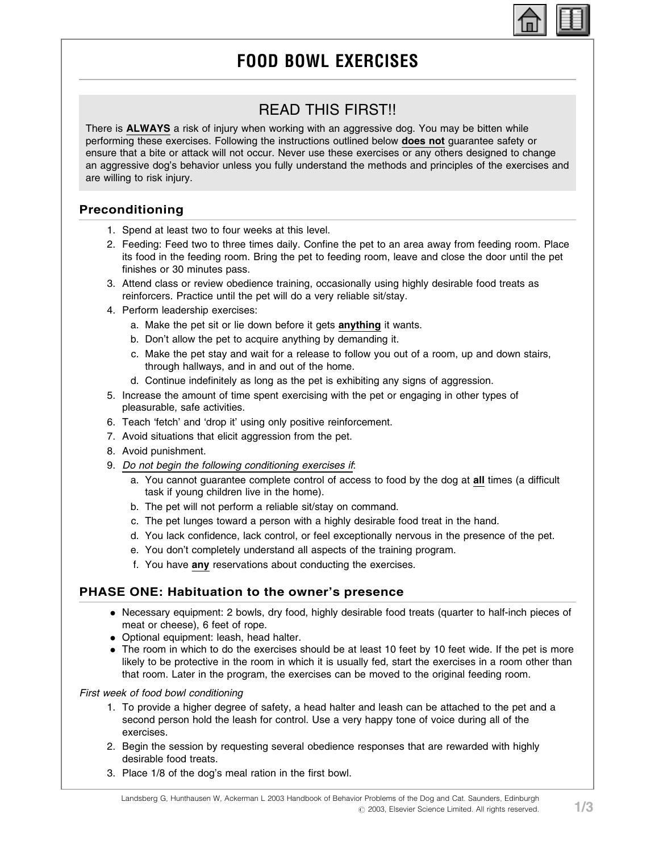# FOOD BOWL EXERCISES

## READ THIS FIRST!!

There is ALWAYS a risk of injury when working with an aggressive dog. You may be bitten while performing these exercises. Following the instructions outlined below **does not** quarantee safety or ensure that a bite or attack will not occur. Never use these exercises or any others designed to change an aggressive dog's behavior unless you fully understand the methods and principles of the exercises and are willing to risk injury.

#### Preconditioning

- 1. Spend at least two to four weeks at this level.
- 2. Feeding: Feed two to three times daily. Confine the pet to an area away from feeding room. Place its food in the feeding room. Bring the pet to feeding room, leave and close the door until the pet finishes or 30 minutes pass.
- 3. Attend class or review obedience training, occasionally using highly desirable food treats as reinforcers. Practice until the pet will do a very reliable sit/stay.
- 4. Perform leadership exercises:
	- a. Make the pet sit or lie down before it gets anything it wants.
	- b. Don't allow the pet to acquire anything by demanding it.
	- c. Make the pet stay and wait for a release to follow you out of a room, up and down stairs, through hallways, and in and out of the home.
	- d. Continue indefinitely as long as the pet is exhibiting any signs of aggression.
- 5. Increase the amount of time spent exercising with the pet or engaging in other types of pleasurable, safe activities.
- 6. Teach 'fetch' and 'drop it' using only positive reinforcement.
- 7. Avoid situations that elicit aggression from the pet.
- 8. Avoid punishment.
- 9. Do not begin the following conditioning exercises if:
	- a. You cannot guarantee complete control of access to food by the dog at all times (a difficult task if young children live in the home).
	- b. The pet will not perform a reliable sit/stay on command.
	- c. The pet lunges toward a person with a highly desirable food treat in the hand.
	- d. You lack confidence, lack control, or feel exceptionally nervous in the presence of the pet.
	- e. You don't completely understand all aspects of the training program.
	- f. You have any reservations about conducting the exercises.

#### PHASE ONE: Habituation to the owner's presence

- . Necessary equipment: 2 bowls, dry food, highly desirable food treats (quarter to half-inch pieces of meat or cheese), 6 feet of rope.
- . Optional equipment: leash, head halter.
- . The room in which to do the exercises should be at least 10 feet by 10 feet wide. If the pet is more likely to be protective in the room in which it is usually fed, start the exercises in a room other than that room. Later in the program, the exercises can be moved to the original feeding room.

First week of food bowl conditioning

- 1. To provide a higher degree of safety, a head halter and leash can be attached to the pet and a second person hold the leash for control. Use a very happy tone of voice during all of the exercises.
- 2. Begin the session by requesting several obedience responses that are rewarded with highly desirable food treats.
- 3. Place 1/8 of the dog's meal ration in the first bowl.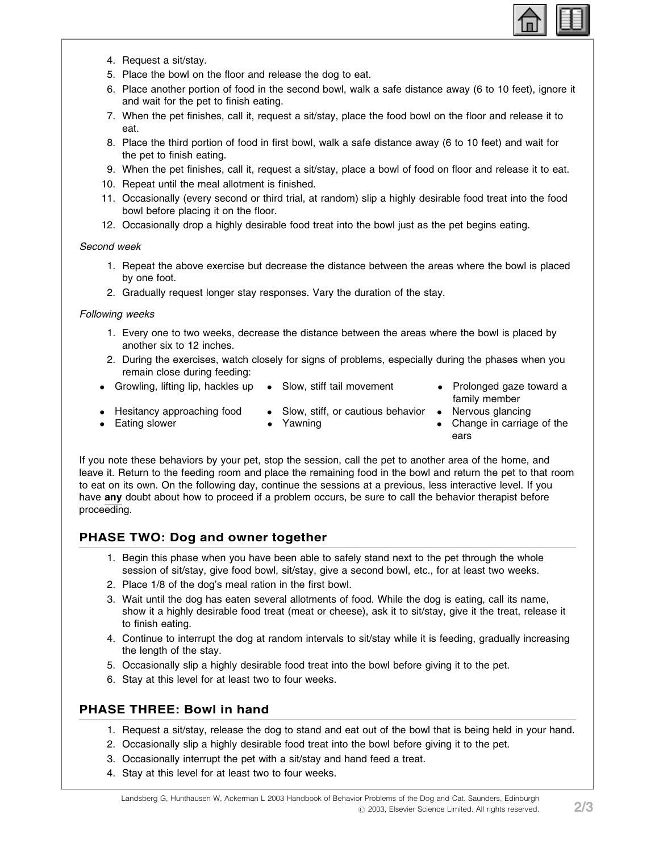

- 4. Request a sit/stay.
- 5. Place the bowl on the floor and release the dog to eat.
- 6. Place another portion of food in the second bowl, walk a safe distance away (6 to 10 feet), ignore it and wait for the pet to finish eating.
- 7. When the pet finishes, call it, request a sit/stay, place the food bowl on the floor and release it to eat.
- 8. Place the third portion of food in first bowl, walk a safe distance away (6 to 10 feet) and wait for the pet to finish eating.
- 9. When the pet finishes, call it, request a sit/stay, place a bowl of food on floor and release it to eat.
- 10. Repeat until the meal allotment is finished.
- 11. Occasionally (every second or third trial, at random) slip a highly desirable food treat into the food bowl before placing it on the floor.
- 12. Occasionally drop a highly desirable food treat into the bowl just as the pet begins eating.

#### Second week

- 1. Repeat the above exercise but decrease the distance between the areas where the bowl is placed by one foot.
- 2. Gradually request longer stay responses. Vary the duration of the stay.

#### Following weeks

- 1. Every one to two weeks, decrease the distance between the areas where the bowl is placed by another six to 12 inches.
- 2. During the exercises, watch closely for signs of problems, especially during the phases when you remain close during feeding:
- Growling, lifting lip, hackles up Slow, stiff tail movement Prolonged gaze toward a
- family member
- **•** Hesitancy approaching food **•** Slow, stiff, or cautious behavior **•** Nervous glancing
- Eating slower Yawning The Change in carriage of the
- 
- ears

If you note these behaviors by your pet, stop the session, call the pet to another area of the home, and leave it. Return to the feeding room and place the remaining food in the bowl and return the pet to that room to eat on its own. On the following day, continue the sessions at a previous, less interactive level. If you have any doubt about how to proceed if a problem occurs, be sure to call the behavior therapist before proceeding.

#### PHASE TWO: Dog and owner together

- 1. Begin this phase when you have been able to safely stand next to the pet through the whole session of sit/stay, give food bowl, sit/stay, give a second bowl, etc., for at least two weeks.
- 2. Place 1/8 of the dog's meal ration in the first bowl.
- 3. Wait until the dog has eaten several allotments of food. While the dog is eating, call its name, show it a highly desirable food treat (meat or cheese), ask it to sit/stay, give it the treat, release it to finish eating.
- 4. Continue to interrupt the dog at random intervals to sit/stay while it is feeding, gradually increasing the length of the stay.
- 5. Occasionally slip a highly desirable food treat into the bowl before giving it to the pet.
- 6. Stay at this level for at least two to four weeks.

## PHASE THREE: Bowl in hand

- 1. Request a sit/stay, release the dog to stand and eat out of the bowl that is being held in your hand.
- 2. Occasionally slip a highly desirable food treat into the bowl before giving it to the pet.
- 3. Occasionally interrupt the pet with a sit/stay and hand feed a treat.
- 4. Stay at this level for at least two to four weeks.